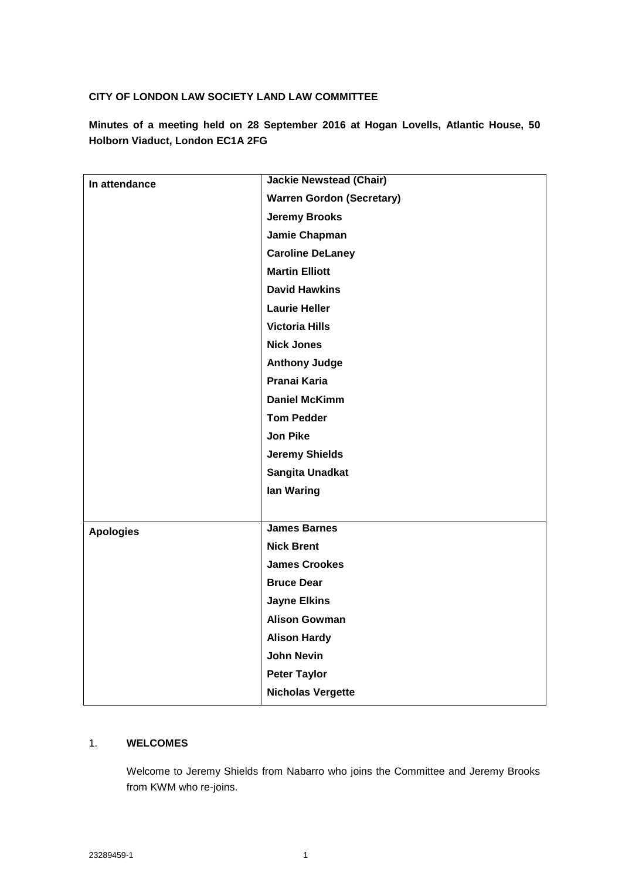### **CITY OF LONDON LAW SOCIETY LAND LAW COMMITTEE**

**Minutes of a meeting held on 28 September 2016 at Hogan Lovells, Atlantic House, 50 Holborn Viaduct, London EC1A 2FG**

| In attendance    | <b>Jackie Newstead (Chair)</b>   |
|------------------|----------------------------------|
|                  | <b>Warren Gordon (Secretary)</b> |
|                  | <b>Jeremy Brooks</b>             |
|                  | Jamie Chapman                    |
|                  | <b>Caroline DeLaney</b>          |
|                  | <b>Martin Elliott</b>            |
|                  | <b>David Hawkins</b>             |
|                  | <b>Laurie Heller</b>             |
|                  | <b>Victoria Hills</b>            |
|                  | <b>Nick Jones</b>                |
|                  | <b>Anthony Judge</b>             |
|                  | <b>Pranai Karia</b>              |
|                  | <b>Daniel McKimm</b>             |
|                  | <b>Tom Pedder</b>                |
|                  | <b>Jon Pike</b>                  |
|                  | <b>Jeremy Shields</b>            |
|                  | <b>Sangita Unadkat</b>           |
|                  | lan Waring                       |
|                  |                                  |
| <b>Apologies</b> | <b>James Barnes</b>              |
|                  | <b>Nick Brent</b>                |
|                  | <b>James Crookes</b>             |
|                  | <b>Bruce Dear</b>                |
|                  | <b>Jayne Elkins</b>              |
|                  | <b>Alison Gowman</b>             |
|                  | <b>Alison Hardy</b>              |
|                  | <b>John Nevin</b>                |
|                  | <b>Peter Taylor</b>              |
|                  | <b>Nicholas Vergette</b>         |

### 1. **WELCOMES**

Welcome to Jeremy Shields from Nabarro who joins the Committee and Jeremy Brooks from KWM who re-joins.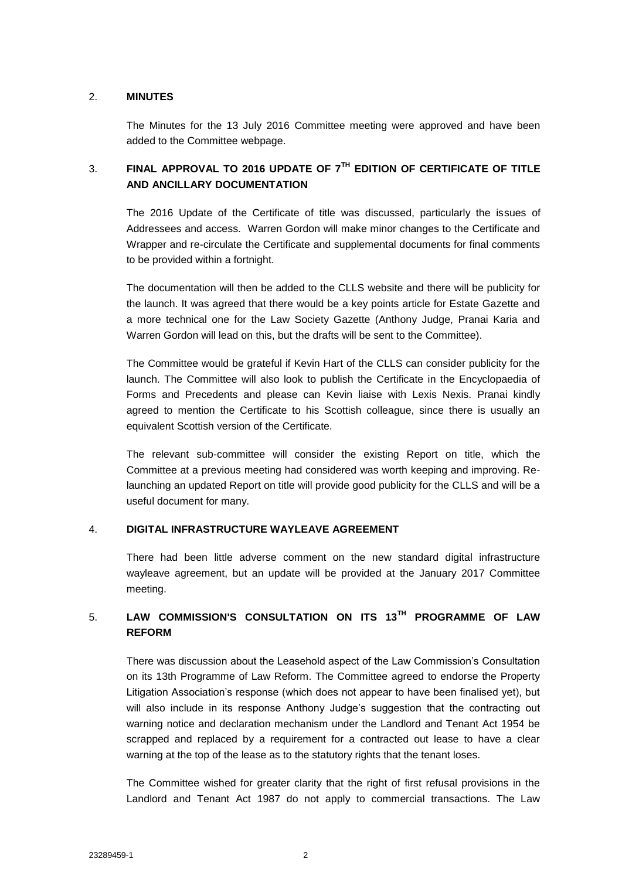### 2. **MINUTES**

The Minutes for the 13 July 2016 Committee meeting were approved and have been added to the Committee webpage.

# 3. **FINAL APPROVAL TO 2016 UPDATE OF 7TH EDITION OF CERTIFICATE OF TITLE AND ANCILLARY DOCUMENTATION**

The 2016 Update of the Certificate of title was discussed, particularly the issues of Addressees and access. Warren Gordon will make minor changes to the Certificate and Wrapper and re-circulate the Certificate and supplemental documents for final comments to be provided within a fortnight.

The documentation will then be added to the CLLS website and there will be publicity for the launch. It was agreed that there would be a key points article for Estate Gazette and a more technical one for the Law Society Gazette (Anthony Judge, Pranai Karia and Warren Gordon will lead on this, but the drafts will be sent to the Committee).

The Committee would be grateful if Kevin Hart of the CLLS can consider publicity for the launch. The Committee will also look to publish the Certificate in the Encyclopaedia of Forms and Precedents and please can Kevin liaise with Lexis Nexis. Pranai kindly agreed to mention the Certificate to his Scottish colleague, since there is usually an equivalent Scottish version of the Certificate.

The relevant sub-committee will consider the existing Report on title, which the Committee at a previous meeting had considered was worth keeping and improving. Relaunching an updated Report on title will provide good publicity for the CLLS and will be a useful document for many.

### 4. **DIGITAL INFRASTRUCTURE WAYLEAVE AGREEMENT**

There had been little adverse comment on the new standard digital infrastructure wayleave agreement, but an update will be provided at the January 2017 Committee meeting.

# 5. **LAW COMMISSION'S CONSULTATION ON ITS 13TH PROGRAMME OF LAW REFORM**

There was discussion about the Leasehold aspect of the Law Commission's Consultation on its 13th Programme of Law Reform. The Committee agreed to endorse the Property Litigation Association's response (which does not appear to have been finalised yet), but will also include in its response Anthony Judge's suggestion that the contracting out warning notice and declaration mechanism under the Landlord and Tenant Act 1954 be scrapped and replaced by a requirement for a contracted out lease to have a clear warning at the top of the lease as to the statutory rights that the tenant loses.

The Committee wished for greater clarity that the right of first refusal provisions in the Landlord and Tenant Act 1987 do not apply to commercial transactions. The Law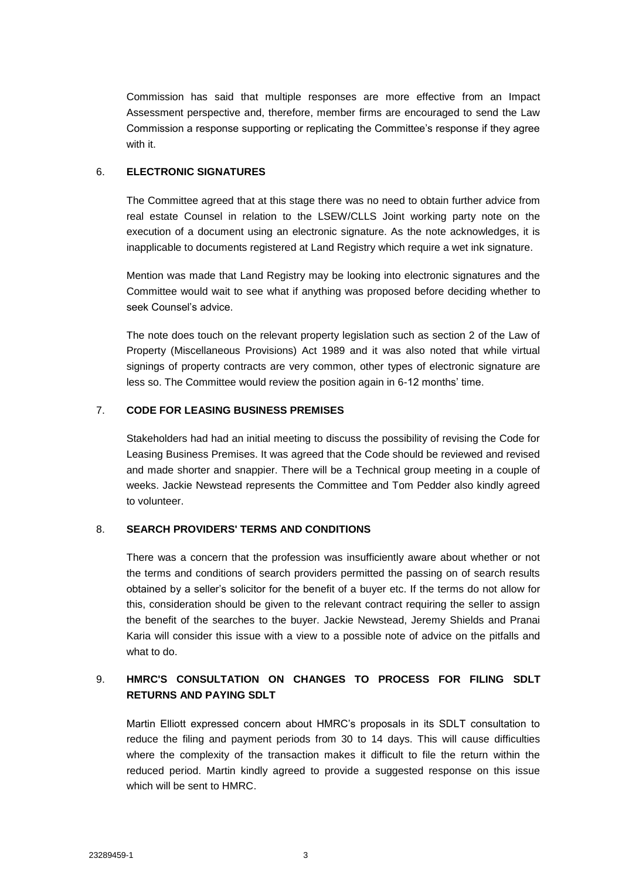Commission has said that multiple responses are more effective from an Impact Assessment perspective and, therefore, member firms are encouraged to send the Law Commission a response supporting or replicating the Committee's response if they agree with it.

### 6. **ELECTRONIC SIGNATURES**

The Committee agreed that at this stage there was no need to obtain further advice from real estate Counsel in relation to the LSEW/CLLS Joint working party note on the execution of a document using an electronic signature. As the note acknowledges, it is inapplicable to documents registered at Land Registry which require a wet ink signature.

Mention was made that Land Registry may be looking into electronic signatures and the Committee would wait to see what if anything was proposed before deciding whether to seek Counsel's advice.

The note does touch on the relevant property legislation such as section 2 of the Law of Property (Miscellaneous Provisions) Act 1989 and it was also noted that while virtual signings of property contracts are very common, other types of electronic signature are less so. The Committee would review the position again in 6-12 months' time.

### 7. **CODE FOR LEASING BUSINESS PREMISES**

Stakeholders had had an initial meeting to discuss the possibility of revising the Code for Leasing Business Premises. It was agreed that the Code should be reviewed and revised and made shorter and snappier. There will be a Technical group meeting in a couple of weeks. Jackie Newstead represents the Committee and Tom Pedder also kindly agreed to volunteer.

### 8. **SEARCH PROVIDERS' TERMS AND CONDITIONS**

There was a concern that the profession was insufficiently aware about whether or not the terms and conditions of search providers permitted the passing on of search results obtained by a seller's solicitor for the benefit of a buyer etc. If the terms do not allow for this, consideration should be given to the relevant contract requiring the seller to assign the benefit of the searches to the buyer. Jackie Newstead, Jeremy Shields and Pranai Karia will consider this issue with a view to a possible note of advice on the pitfalls and what to do.

## 9. **HMRC'S CONSULTATION ON CHANGES TO PROCESS FOR FILING SDLT RETURNS AND PAYING SDLT**

Martin Elliott expressed concern about HMRC's proposals in its SDLT consultation to reduce the filing and payment periods from 30 to 14 days. This will cause difficulties where the complexity of the transaction makes it difficult to file the return within the reduced period. Martin kindly agreed to provide a suggested response on this issue which will be sent to HMRC.